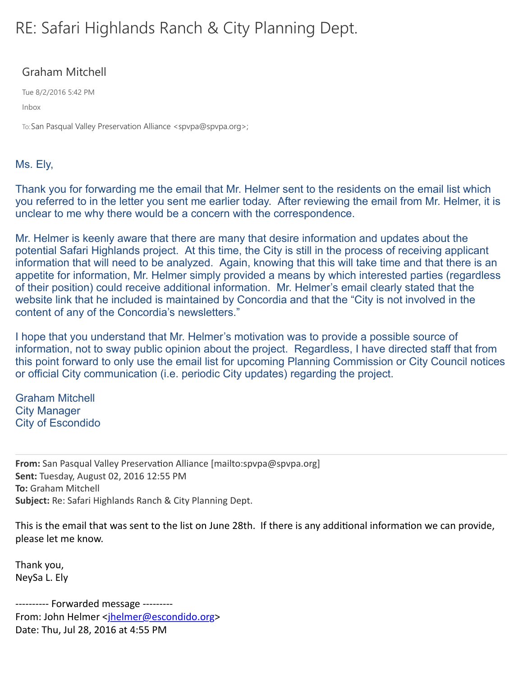## RE: Safari Highlands Ranch & City Planning Dept.

## Graham Mitchell

Tue 8/2/2016 5:42 PM

Inbox

To:San Pasqual Valley Preservation Alliance <spvpa@spvpa.org>;

## Ms. Ely,

Thank you for forwarding me the email that Mr. Helmer sent to the residents on the email list which you referred to in the letter you sent me earlier today. After reviewing the email from Mr. Helmer, it is unclear to me why there would be a concern with the correspondence.

Mr. Helmer is keenly aware that there are many that desire information and updates about the potential Safari Highlands project. At this time, the City is still in the process of receiving applicant information that will need to be analyzed. Again, knowing that this will take time and that there is an appetite for information, Mr. Helmer simply provided a means by which interested parties (regardless of their position) could receive additional information. Mr. Helmer's email clearly stated that the website link that he included is maintained by Concordia and that the "City is not involved in the content of any of the Concordia's newsletters."

I hope that you understand that Mr. Helmer's motivation was to provide a possible source of information, not to sway public opinion about the project. Regardless, I have directed staff that from this point forward to only use the email list for upcoming Planning Commission or City Council notices or official City communication (i.e. periodic City updates) regarding the project.

Graham Mitchell City Manager City of Escondido

**From:** San Pasqual Valley Preservation Alliance [mailto:spvpa@spvpa.org] **Sent:** Tuesday, August 02, 2016 12:55 PM **To:** Graham Mitchell **Subject:** Re: Safari Highlands Ranch & City Planning Dept.

This is the email that was sent to the list on June 28th. If there is any additional information we can provide, please let me know.

Thank you, NeySa L. Ely

---------- Forwarded message ---------From: John Helmer <ihelmer@escondido.org> Date: Thu, Jul 28, 2016 at 4:55 PM